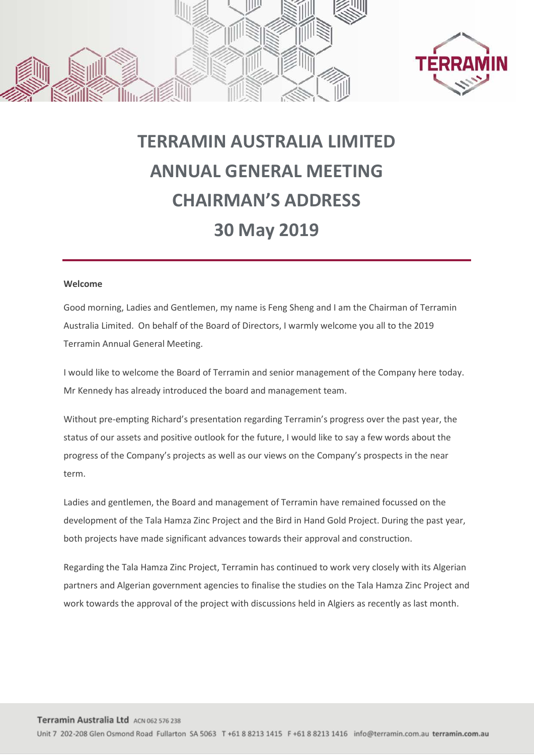



## **TERRAMIN AUSTRALIA LIMITED ANNUAL GENERAL MEETING CHAIRMAN'S ADDRESS 30 May 2019**

## **Welcome**

Good morning, Ladies and Gentlemen, my name is Feng Sheng and I am the Chairman of Terramin Australia Limited. On behalf of the Board of Directors, I warmly welcome you all to the 2019 Terramin Annual General Meeting.

I would like to welcome the Board of Terramin and senior management of the Company here today. Mr Kennedy has already introduced the board and management team.

Without pre-empting Richard's presentation regarding Terramin's progress over the past year, the status of our assets and positive outlook for the future, I would like to say a few words about the progress of the Company's projects as well as our views on the Company's prospects in the near term.

Ladies and gentlemen, the Board and management of Terramin have remained focussed on the development of the Tala Hamza Zinc Project and the Bird in Hand Gold Project. During the past year, both projects have made significant advances towards their approval and construction.

Regarding the Tala Hamza Zinc Project, Terramin has continued to work very closely with its Algerian partners and Algerian government agencies to finalise the studies on the Tala Hamza Zinc Project and work towards the approval of the project with discussions held in Algiers as recently as last month.

Unit 7 202-208 Glen Osmond Road Fullarton SA 5063 T +61 8 8213 1415 F +61 8 8213 1416 info@terramin.com.au terramin.com.au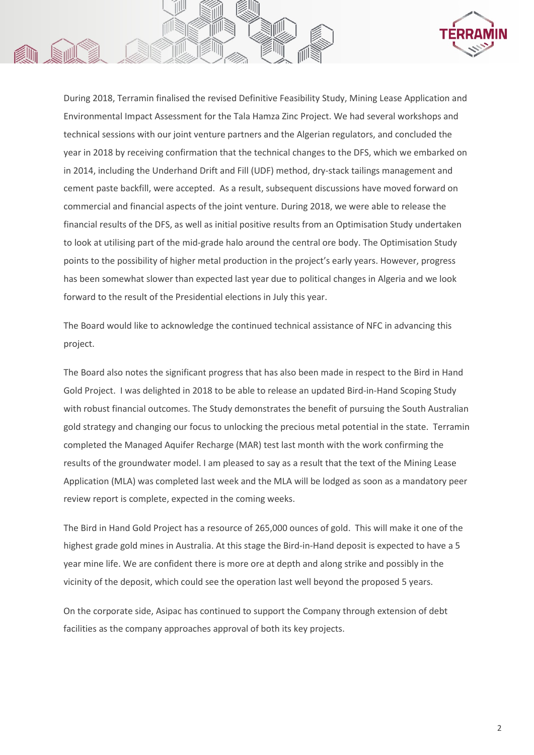

During 2018, Terramin finalised the revised Definitive Feasibility Study, Mining Lease Application and Environmental Impact Assessment for the Tala Hamza Zinc Project. We had several workshops and technical sessions with our joint venture partners and the Algerian regulators, and concluded the year in 2018 by receiving confirmation that the technical changes to the DFS, which we embarked on in 2014, including the Underhand Drift and Fill (UDF) method, dry-stack tailings management and cement paste backfill, were accepted. As a result, subsequent discussions have moved forward on commercial and financial aspects of the joint venture. During 2018, we were able to release the financial results of the DFS, as well as initial positive results from an Optimisation Study undertaken to look at utilising part of the mid-grade halo around the central ore body. The Optimisation Study points to the possibility of higher metal production in the project's early years. However, progress has been somewhat slower than expected last year due to political changes in Algeria and we look forward to the result of the Presidential elections in July this year.

The Board would like to acknowledge the continued technical assistance of NFC in advancing this project.

The Board also notes the significant progress that has also been made in respect to the Bird in Hand Gold Project. I was delighted in 2018 to be able to release an updated Bird-in-Hand Scoping Study with robust financial outcomes. The Study demonstrates the benefit of pursuing the South Australian gold strategy and changing our focus to unlocking the precious metal potential in the state. Terramin completed the Managed Aquifer Recharge (MAR) test last month with the work confirming the results of the groundwater model. I am pleased to say as a result that the text of the Mining Lease Application (MLA) was completed last week and the MLA will be lodged as soon as a mandatory peer review report is complete, expected in the coming weeks.

The Bird in Hand Gold Project has a resource of 265,000 ounces of gold. This will make it one of the highest grade gold mines in Australia. At this stage the Bird-in-Hand deposit is expected to have a 5 year mine life. We are confident there is more ore at depth and along strike and possibly in the vicinity of the deposit, which could see the operation last well beyond the proposed 5 years.

On the corporate side, Asipac has continued to support the Company through extension of debt facilities as the company approaches approval of both its key projects.